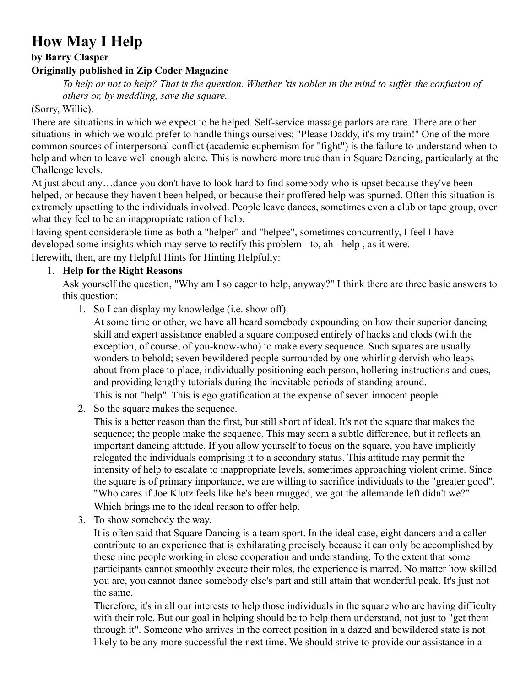# **How May I Help**

### **by Barry Clasper**

## **Originally published in Zip Coder Magazine**

*To help or not to help? That is the question. Whether 'tis nobler in the mind to suffer the confusion of others or, by meddling, save the square.*

#### (Sorry, Willie).

There are situations in which we expect to be helped. Self-service massage parlors are rare. There are other situations in which we would prefer to handle things ourselves; "Please Daddy, it's my train!" One of the more common sources of interpersonal conflict (academic euphemism for "fight") is the failure to understand when to help and when to leave well enough alone. This is nowhere more true than in Square Dancing, particularly at the Challenge levels.

At just about any…dance you don't have to look hard to find somebody who is upset because they've been helped, or because they haven't been helped, or because their proffered help was spurned. Often this situation is extremely upsetting to the individuals involved. People leave dances, sometimes even a club or tape group, over what they feel to be an inappropriate ration of help.

Having spent considerable time as both a "helper" and "helpee", sometimes concurrently, I feel I have developed some insights which may serve to rectify this problem - to, ah - help , as it were.

Herewith, then, are my Helpful Hints for Hinting Helpfully:

## 1. **Help for the Right Reasons**

Ask yourself the question, "Why am I so eager to help, anyway?" I think there are three basic answers to this question:

1. So I can display my knowledge (i.e. show off).

At some time or other, we have all heard somebody expounding on how their superior dancing skill and expert assistance enabled a square composed entirely of hacks and clods (with the exception, of course, of you-know-who) to make every sequence. Such squares are usually wonders to behold; seven bewildered people surrounded by one whirling dervish who leaps about from place to place, individually positioning each person, hollering instructions and cues, and providing lengthy tutorials during the inevitable periods of standing around.

This is not "help". This is ego gratification at the expense of seven innocent people.

2. So the square makes the sequence.

This is a better reason than the first, but still short of ideal. It's not the square that makes the sequence; the people make the sequence. This may seem a subtle difference, but it reflects an important dancing attitude. If you allow yourself to focus on the square, you have implicitly relegated the individuals comprising it to a secondary status. This attitude may permit the intensity of help to escalate to inappropriate levels, sometimes approaching violent crime. Since the square is of primary importance, we are willing to sacrifice individuals to the "greater good". "Who cares if Joe Klutz feels like he's been mugged, we got the allemande left didn't we?" Which brings me to the ideal reason to offer help.

3. To show somebody the way.

It is often said that Square Dancing is a team sport. In the ideal case, eight dancers and a caller contribute to an experience that is exhilarating precisely because it can only be accomplished by these nine people working in close cooperation and understanding. To the extent that some participants cannot smoothly execute their roles, the experience is marred. No matter how skilled you are, you cannot dance somebody else's part and still attain that wonderful peak. It's just not the same.

Therefore, it's in all our interests to help those individuals in the square who are having difficulty with their role. But our goal in helping should be to help them understand, not just to "get them through it". Someone who arrives in the correct position in a dazed and bewildered state is not likely to be any more successful the next time. We should strive to provide our assistance in a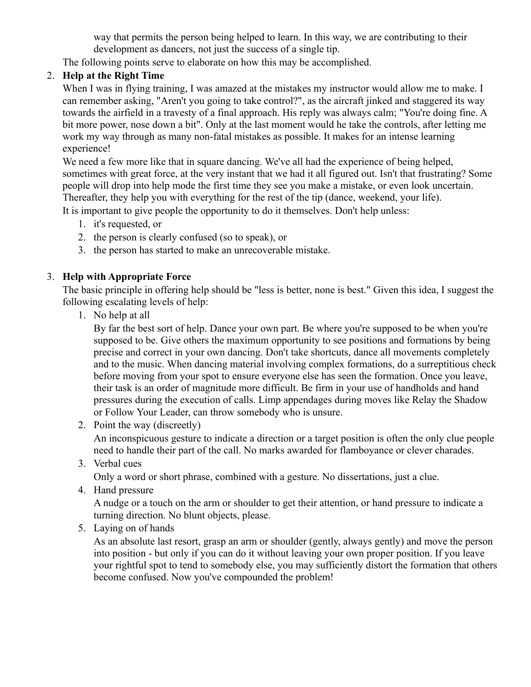way that permits the person being helped to learn. In this way, we are contributing to their development as dancers, not just the success of a single tip.

The following points serve to elaborate on how this may be accomplished.

## 2. **Help at the Right Time**

When I was in flying training, I was amazed at the mistakes my instructor would allow me to make. I can remember asking, "Aren't you going to take control?", as the aircraft jinked and staggered its way towards the airfield in a travesty of a final approach. His reply was always calm; "You're doing fine. A bit more power, nose down a bit". Only at the last moment would he take the controls, after letting me work my way through as many non-fatal mistakes as possible. It makes for an intense learning experience!

We need a few more like that in square dancing. We've all had the experience of being helped, sometimes with great force, at the very instant that we had it all figured out. Isn't that frustrating? Some people will drop into help mode the first time they see you make a mistake, or even look uncertain. Thereafter, they help you with everything for the rest of the tip (dance, weekend, your life). It is important to give people the opportunity to do it themselves. Don't help unless:

- 1. it's requested, or
- 2. the person is clearly confused (so to speak), or
- 3. the person has started to make an unrecoverable mistake.

#### 3. **Help with Appropriate Force**

The basic principle in offering help should be "less is better, none is best." Given this idea, I suggest the following escalating levels of help:

1. No help at all

By far the best sort of help. Dance your own part. Be where you're supposed to be when you're supposed to be. Give others the maximum opportunity to see positions and formations by being precise and correct in your own dancing. Don't take shortcuts, dance all movements completely and to the music. When dancing material involving complex formations, do a surreptitious check before moving from your spot to ensure everyone else has seen the formation. Once you leave, their task is an order of magnitude more difficult. Be firm in your use of handholds and hand pressures during the execution of calls. Limp appendages during moves like Relay the Shadow or Follow Your Leader, can throw somebody who is unsure.

2. Point the way (discreetly)

An inconspicuous gesture to indicate a direction or a target position is often the only clue people need to handle their part of the call. No marks awarded for flamboyance or clever charades.

3. Verbal cues

Only a word or short phrase, combined with a gesture. No dissertations, just a clue.

4. Hand pressure

A nudge or a touch on the arm or shoulder to get their attention, or hand pressure to indicate a turning direction. No blunt objects, please.

5. Laying on of hands

As an absolute last resort, grasp an arm or shoulder (gently, always gently) and move the person into position - but only if you can do it without leaving your own proper position. If you leave your rightful spot to tend to somebody else, you may sufficiently distort the formation that others become confused. Now you've compounded the problem!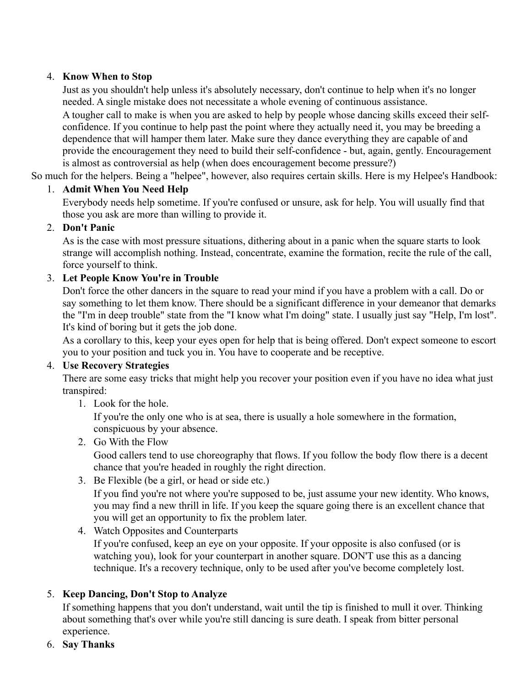## 4. **Know When to Stop**

Just as you shouldn't help unless it's absolutely necessary, don't continue to help when it's no longer needed. A single mistake does not necessitate a whole evening of continuous assistance.

A tougher call to make is when you are asked to help by people whose dancing skills exceed their selfconfidence. If you continue to help past the point where they actually need it, you may be breeding a dependence that will hamper them later. Make sure they dance everything they are capable of and provide the encouragement they need to build their self-confidence - but, again, gently. Encouragement is almost as controversial as help (when does encouragement become pressure?)

So much for the helpers. Being a "helpee", however, also requires certain skills. Here is my Helpee's Handbook:

## 1. **Admit When You Need Help**

Everybody needs help sometime. If you're confused or unsure, ask for help. You will usually find that those you ask are more than willing to provide it.

## 2. **Don't Panic**

As is the case with most pressure situations, dithering about in a panic when the square starts to look strange will accomplish nothing. Instead, concentrate, examine the formation, recite the rule of the call, force yourself to think.

## 3. **Let People Know You're in Trouble**

Don't force the other dancers in the square to read your mind if you have a problem with a call. Do or say something to let them know. There should be a significant difference in your demeanor that demarks the "I'm in deep trouble" state from the "I know what I'm doing" state. I usually just say "Help, I'm lost". It's kind of boring but it gets the job done.

As a corollary to this, keep your eyes open for help that is being offered. Don't expect someone to escort you to your position and tuck you in. You have to cooperate and be receptive.

## 4. **Use Recovery Strategies**

There are some easy tricks that might help you recover your position even if you have no idea what just transpired:

1. Look for the hole.

If you're the only one who is at sea, there is usually a hole somewhere in the formation, conspicuous by your absence.

2. Go With the Flow

Good callers tend to use choreography that flows. If you follow the body flow there is a decent chance that you're headed in roughly the right direction.

3. Be Flexible (be a girl, or head or side etc.)

If you find you're not where you're supposed to be, just assume your new identity. Who knows, you may find a new thrill in life. If you keep the square going there is an excellent chance that you will get an opportunity to fix the problem later.

## 4. Watch Opposites and Counterparts

If you're confused, keep an eye on your opposite. If your opposite is also confused (or is watching you), look for your counterpart in another square. DON'T use this as a dancing technique. It's a recovery technique, only to be used after you've become completely lost.

# 5. **Keep Dancing, Don't Stop to Analyze**

If something happens that you don't understand, wait until the tip is finished to mull it over. Thinking about something that's over while you're still dancing is sure death. I speak from bitter personal experience.

6. **Say Thanks**